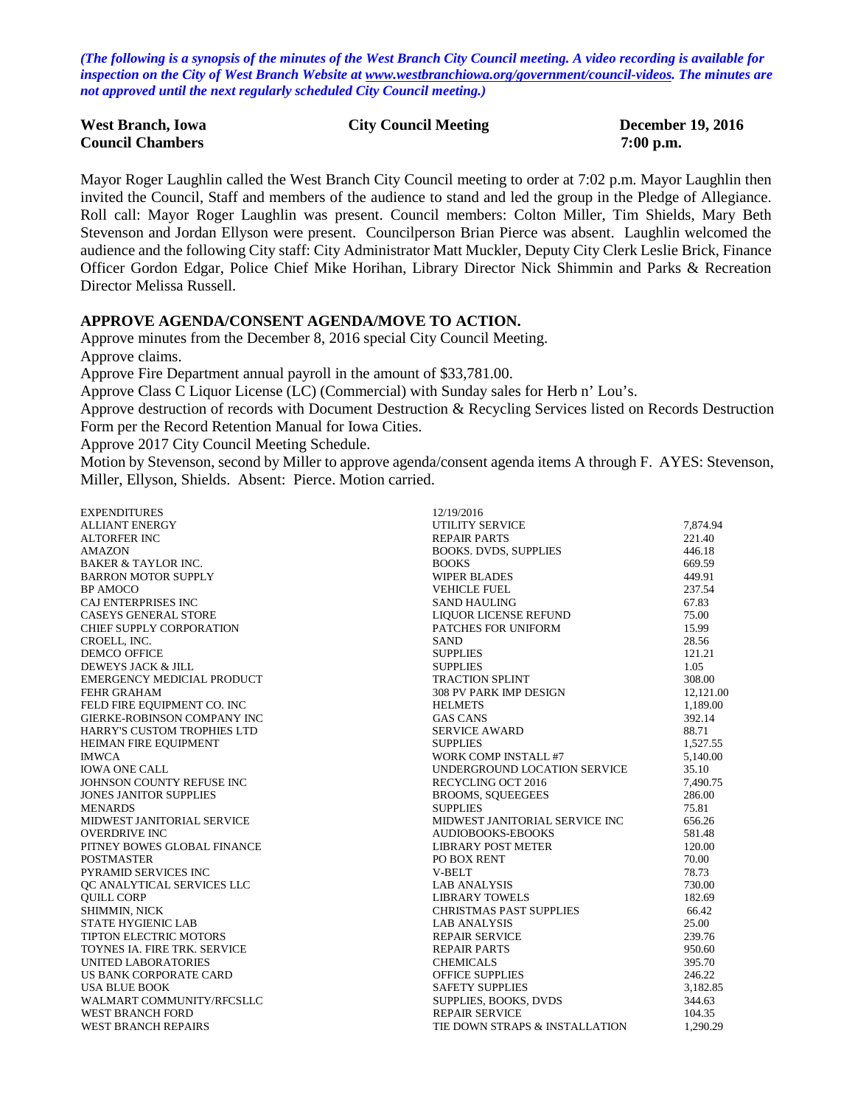*(The following is a synopsis of the minutes of the West Branch City Council meeting. A video recording is available for inspection on the City of West Branch Website at [www.westbranchiowa.org/government/council-videos.](http://www.westbranchiowa.org/government/council-videos) The minutes are not approved until the next regularly scheduled City Council meeting.)*

| <b>West Branch, Iowa</b> | <b>City Council Meeting</b> | <b>December 19, 2016</b> |
|--------------------------|-----------------------------|--------------------------|
| <b>Council Chambers</b>  |                             | $7:00$ p.m.              |

Mayor Roger Laughlin called the West Branch City Council meeting to order at 7:02 p.m. Mayor Laughlin then invited the Council, Staff and members of the audience to stand and led the group in the Pledge of Allegiance. Roll call: Mayor Roger Laughlin was present. Council members: Colton Miller, Tim Shields, Mary Beth Stevenson and Jordan Ellyson were present. Councilperson Brian Pierce was absent. Laughlin welcomed the audience and the following City staff: City Administrator Matt Muckler, Deputy City Clerk Leslie Brick, Finance Officer Gordon Edgar, Police Chief Mike Horihan, Library Director Nick Shimmin and Parks & Recreation Director Melissa Russell.

#### **APPROVE AGENDA/CONSENT AGENDA/MOVE TO ACTION.**

Approve minutes from the December 8, 2016 special City Council Meeting. Approve claims. Approve Fire Department annual payroll in the amount of \$33,781.00. Approve Class C Liquor License (LC) (Commercial) with Sunday sales for Herb n' Lou's. Approve destruction of records with Document Destruction & Recycling Services listed on Records Destruction Form per the Record Retention Manual for Iowa Cities. Approve 2017 City Council Meeting Schedule. Motion by Stevenson, second by Miller to approve agenda/consent agenda items A through F. AYES: Stevenson, Miller, Ellyson, Shields. Absent: Pierce. Motion carried.

EXPENDITURES 12/19/2016 ALLIANT ENERGY UTILITY SERVICE 7,874.94 ALTORFER INC 221.40 AMAZON BOOKS. DVDS, SUPPLIES 446.18 BAKER & TAYLOR INC. 669.59 BARRON MOTOR SUPPLY **Example 249.91** WIPER BLADES 449.91 BP AMOCO VEHICLE FUEL 237.54 CAJ ENTERPRISES INC 67.83<br>CASEYS GENERAL STORE TERM ON THE SAND HAULING LIQUOR LICENSE REFUND 67.83 LIQUOR LICENSE REFUND 75.00<br>PATCHES FOR UNIFORM 15.99 CHIEF SUPPLY CORPORATION **EXECUTE:** PATCHES FOR UNIFORM 15.99 CROELL, INC. 28.56 DEMCO OFFICE 121.21 DEWEYS JACK & JILL SUPPLIES 1.05 EMERGENCY MEDICIAL PRODUCT FEHR GRAHAM 12,121.00<br>
FELD FIRE EQUIPMENT CO INC FELD FIRE EQUIPMENT CO. INC HELMETS GIERKE-ROBINSON COMPANY INC GAS CANS 66 GAS CANS 392.14 HARRY'S CUSTOM TROPHIES LTD SERVICE AWARD 88.71 HEIMAN FIRE EQUIPMENT IMWCA 5.140.00 IOWA ONE CALL IONNERGROUND LOCATION SERVICE 35.10<br>IOHNSON COUNTY REFUSE INC<br>T.490.75 JOHNSON COUNTY REFUSE INC JONES JANITOR SUPPLIES BROOMS, SQUEEGEES 286.00 MENARDS 75.81 MIDWEST JANITORIAL SERVICE MIDWEST JANITORIAL SERVICE INC 656.26 OVERDRIVE INC 581.48 PITNEY BOWES GLOBAL FINANCE LIBRARY POST METER 120.00 POSTMASTER 120.00 PO BOX RENT PYRAMID SERVICES INC 78.73 QC ANALYTICAL SERVICES LLC LAB ANALYSIS 730.00 QUILL CORP LIBRARY TOWELS 182.69 SHIMMIN, NICK 66.42 STATE HYGIENIC LAB 25.00 TIPTON ELECTRIC MOTORS **REPAIR SERVICE** 239.76 TOYNES IA. FIRE TRK. SERVICE THE REPAIR PARTS AND REPAIR PARTS 950.60 UNITED LABORATORIES CHEMICALS 395.70 US BANK CORPORATE CARD OFFICE SUPPLIES 246.22 USA BLUE BOOK SAFETY SUPPLIES 3,182.85 WALMART COMMUNITY/RFCSLLC SUPPLIES, BOOKS, DVDS WEST BRANCH FORD SUPPLIES, BOOKS, DVDS WEST BRANCH FORD **REPAIR SERVICE** 104.35 WEST BRANCH REPAIRS TIE DOWN STRAPS & INSTALLATION 1,290.29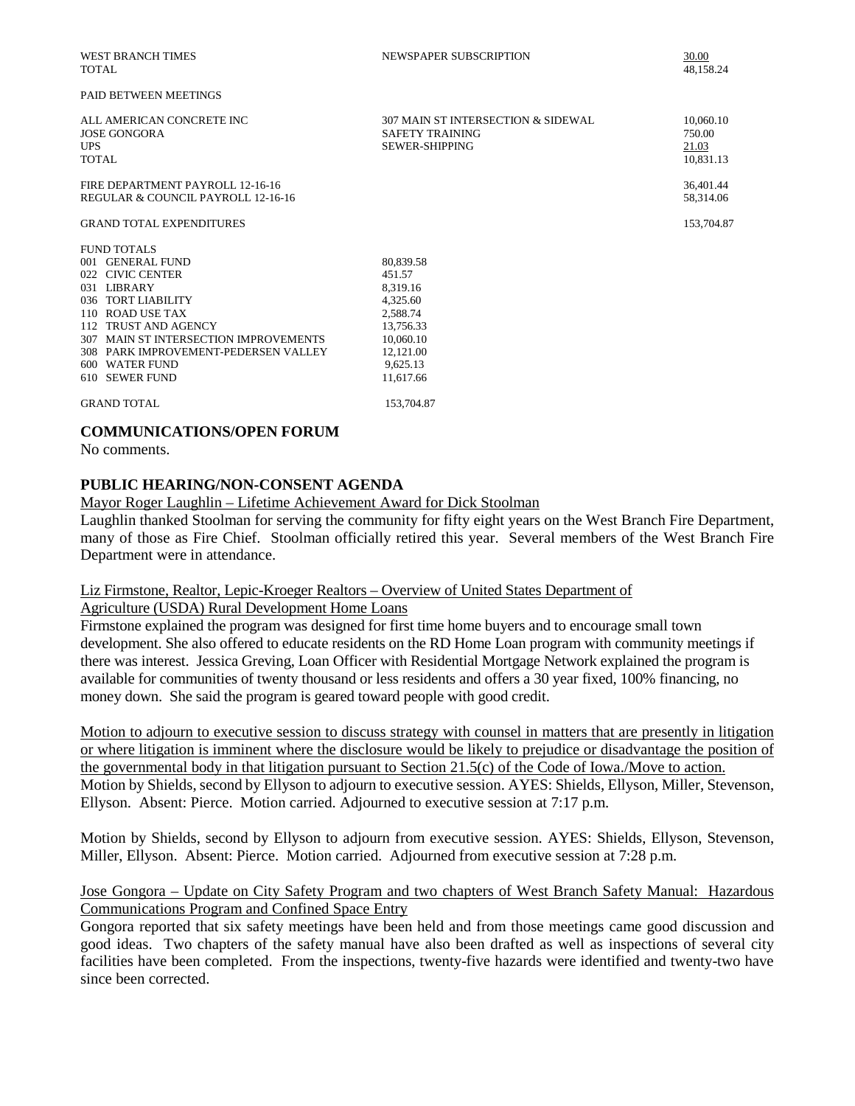| <b>WEST BRANCH TIMES</b><br><b>TOTAL</b>                                | NEWSPAPER SUBSCRIPTION                                                                | 30.00<br>48,158.24                        |
|-------------------------------------------------------------------------|---------------------------------------------------------------------------------------|-------------------------------------------|
| <b>PAID BETWEEN MEETINGS</b>                                            |                                                                                       |                                           |
| ALL AMERICAN CONCRETE INC<br>JOSE GONGORA<br><b>UPS</b><br><b>TOTAL</b> | 307 MAIN ST INTERSECTION & SIDEWAL<br><b>SAFETY TRAINING</b><br><b>SEWER-SHIPPING</b> | 10,060.10<br>750.00<br>21.03<br>10.831.13 |
| FIRE DEPARTMENT PAYROLL 12-16-16<br>REGULAR & COUNCIL PAYROLL 12-16-16  |                                                                                       | 36,401.44<br>58,314.06                    |
| <b>GRAND TOTAL EXPENDITURES</b>                                         |                                                                                       | 153,704.87                                |
| FUND TOTALS                                                             |                                                                                       |                                           |
| 001 GENERAL FUND                                                        | 80,839.58                                                                             |                                           |
| 022 CIVIC CENTER                                                        | 451.57                                                                                |                                           |
| 031 LIBRARY                                                             | 8.319.16                                                                              |                                           |
| 036 TORT LIABILITY                                                      | 4,325.60                                                                              |                                           |
| 110 ROAD USE TAX                                                        | 2,588.74                                                                              |                                           |
| 112 TRUST AND AGENCY                                                    | 13,756.33                                                                             |                                           |
| 307 MAIN ST INTERSECTION IMPROVEMENTS                                   | 10,060.10                                                                             |                                           |
| 308 PARK IMPROVEMENT-PEDERSEN VALLEY                                    | 12,121.00                                                                             |                                           |
| 600 WATER FUND                                                          | 9,625.13                                                                              |                                           |
| 610 SEWER FUND                                                          | 11,617.66                                                                             |                                           |
| <b>GRAND TOTAL</b>                                                      | 153,704.87                                                                            |                                           |

#### **COMMUNICATIONS/OPEN FORUM**

No comments.

### **PUBLIC HEARING/NON-CONSENT AGENDA**

Mayor Roger Laughlin – Lifetime Achievement Award for Dick Stoolman

Laughlin thanked Stoolman for serving the community for fifty eight years on the West Branch Fire Department, many of those as Fire Chief. Stoolman officially retired this year. Several members of the West Branch Fire Department were in attendance.

#### Liz Firmstone, Realtor, Lepic-Kroeger Realtors – Overview of United States Department of Agriculture (USDA) Rural Development Home Loans

Firmstone explained the program was designed for first time home buyers and to encourage small town development. She also offered to educate residents on the RD Home Loan program with community meetings if there was interest. Jessica Greving, Loan Officer with Residential Mortgage Network explained the program is available for communities of twenty thousand or less residents and offers a 30 year fixed, 100% financing, no

money down. She said the program is geared toward people with good credit.

Motion to adjourn to executive session to discuss strategy with counsel in matters that are presently in litigation or where litigation is imminent where the disclosure would be likely to prejudice or disadvantage the position of the governmental body in that litigation pursuant to Section 21.5(c) of the Code of Iowa./Move to action. Motion by Shields, second by Ellyson to adjourn to executive session. AYES: Shields, Ellyson, Miller, Stevenson, Ellyson. Absent: Pierce. Motion carried. Adjourned to executive session at 7:17 p.m.

Motion by Shields, second by Ellyson to adjourn from executive session. AYES: Shields, Ellyson, Stevenson, Miller, Ellyson. Absent: Pierce. Motion carried. Adjourned from executive session at 7:28 p.m.

## Jose Gongora – Update on City Safety Program and two chapters of West Branch Safety Manual: Hazardous Communications Program and Confined Space Entry

Gongora reported that six safety meetings have been held and from those meetings came good discussion and good ideas. Two chapters of the safety manual have also been drafted as well as inspections of several city facilities have been completed. From the inspections, twenty-five hazards were identified and twenty-two have since been corrected.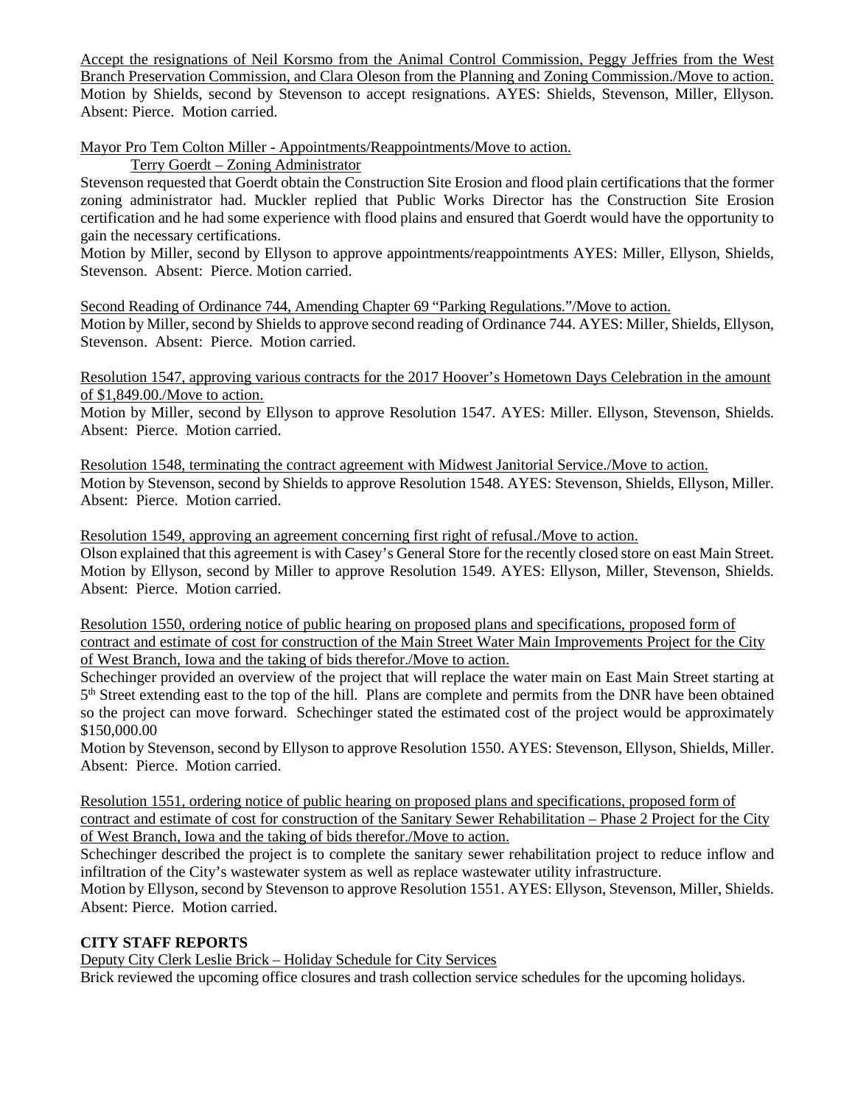Accept the resignations of Neil Korsmo from the Animal Control Commission, Peggy Jeffries from the West Branch Preservation Commission, and Clara Oleson from the Planning and Zoning Commission./Move to action. Motion by Shields, second by Stevenson to accept resignations. AYES: Shields, Stevenson, Miller, Ellyson. Absent: Pierce. Motion carried.

Mayor Pro Tem Colton Miller - Appointments/Reappointments/Move to action.

Terry Goerdt – Zoning Administrator

Stevenson requested that Goerdt obtain the Construction Site Erosion and flood plain certifications that the former zoning administrator had. Muckler replied that Public Works Director has the Construction Site Erosion certification and he had some experience with flood plains and ensured that Goerdt would have the opportunity to gain the necessary certifications.

Motion by Miller, second by Ellyson to approve appointments/reappointments AYES: Miller, Ellyson, Shields, Stevenson. Absent: Pierce. Motion carried.

Second Reading of Ordinance 744, Amending Chapter 69 "Parking Regulations."/Move to action. Motion by Miller, second by Shields to approve second reading of Ordinance 744. AYES: Miller, Shields, Ellyson, Stevenson. Absent: Pierce. Motion carried.

Resolution 1547, approving various contracts for the 2017 Hoover's Hometown Days Celebration in the amount of \$1,849.00./Move to action.

Motion by Miller, second by Ellyson to approve Resolution 1547. AYES: Miller. Ellyson, Stevenson, Shields. Absent: Pierce. Motion carried.

Resolution 1548, terminating the contract agreement with Midwest Janitorial Service./Move to action. Motion by Stevenson, second by Shields to approve Resolution 1548. AYES: Stevenson, Shields, Ellyson, Miller. Absent: Pierce. Motion carried.

Resolution 1549, approving an agreement concerning first right of refusal./Move to action. Olson explained that this agreement is with Casey's General Store for the recently closed store on east Main Street. Motion by Ellyson, second by Miller to approve Resolution 1549. AYES: Ellyson, Miller, Stevenson, Shields. Absent: Pierce. Motion carried.

Resolution 1550, ordering notice of public hearing on proposed plans and specifications, proposed form of contract and estimate of cost for construction of the Main Street Water Main Improvements Project for the City of West Branch, Iowa and the taking of bids therefor./Move to action.

Schechinger provided an overview of the project that will replace the water main on East Main Street starting at 5<sup>th</sup> Street extending east to the top of the hill. Plans are complete and permits from the DNR have been obtained so the project can move forward. Schechinger stated the estimated cost of the project would be approximately \$150,000.00

Motion by Stevenson, second by Ellyson to approve Resolution 1550. AYES: Stevenson, Ellyson, Shields, Miller. Absent: Pierce. Motion carried.

Resolution 1551, ordering notice of public hearing on proposed plans and specifications, proposed form of contract and estimate of cost for construction of the Sanitary Sewer Rehabilitation – Phase 2 Project for the City of West Branch, Iowa and the taking of bids therefor./Move to action.

Schechinger described the project is to complete the sanitary sewer rehabilitation project to reduce inflow and infiltration of the City's wastewater system as well as replace wastewater utility infrastructure.

Motion by Ellyson, second by Stevenson to approve Resolution 1551. AYES: Ellyson, Stevenson, Miller, Shields. Absent: Pierce. Motion carried.

# **CITY STAFF REPORTS**

Deputy City Clerk Leslie Brick – Holiday Schedule for City Services

Brick reviewed the upcoming office closures and trash collection service schedules for the upcoming holidays.